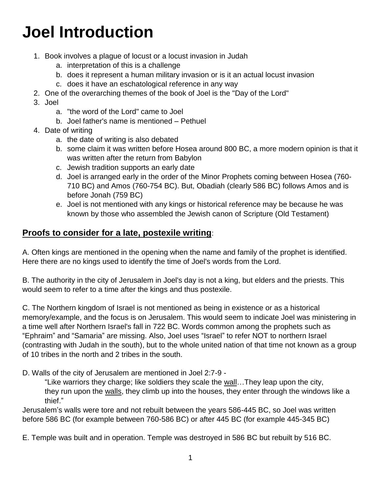## **Joel Introduction**

- 1. Book involves a plague of locust or a locust invasion in Judah
	- a. interpretation of this is a challenge
	- b. does it represent a human military invasion or is it an actual locust invasion
	- c. does it have an eschatological reference in any way
- 2. One of the overarching themes of the book of Joel is the "Day of the Lord"
- 3. Joel
	- a. "the word of the Lord" came to Joel
	- b. Joel father's name is mentioned Pethuel
- 4. Date of writing
	- a. the date of writing is also debated
	- b. some claim it was written before Hosea around 800 BC, a more modern opinion is that it was written after the return from Babylon
	- c. Jewish tradition supports an early date
	- d. Joel is arranged early in the order of the Minor Prophets coming between Hosea (760- 710 BC) and Amos (760-754 BC). But, Obadiah (clearly 586 BC) follows Amos and is before Jonah (759 BC)
	- e. Joel is not mentioned with any kings or historical reference may be because he was known by those who assembled the Jewish canon of Scripture (Old Testament)

## **Proofs to consider for a late, postexile writing**:

A. Often kings are mentioned in the opening when the name and family of the prophet is identified. Here there are no kings used to identify the time of Joel's words from the Lord.

B. The authority in the city of Jerusalem in Joel's day is not a king, but elders and the priests. This would seem to refer to a time after the kings and thus postexile.

C. The Northern kingdom of Israel is not mentioned as being in existence or as a historical memory/example, and the focus is on Jerusalem. This would seem to indicate Joel was ministering in a time well after Northern Israel's fall in 722 BC. Words common among the prophets such as "Ephraim" and "Samaria" are missing. Also, Joel uses "Israel" to refer NOT to northern Israel (contrasting with Judah in the south), but to the whole united nation of that time not known as a group of 10 tribes in the north and 2 tribes in the south.

D. Walls of the city of Jerusalem are mentioned in Joel 2:7-9 -

"Like warriors they charge; like soldiers they scale the wall…They leap upon the city, they run upon the walls, they climb up into the houses, they enter through the windows like a thief."

Jerusalem's walls were tore and not rebuilt between the years 586-445 BC, so Joel was written before 586 BC (for example between 760-586 BC) or after 445 BC (for example 445-345 BC)

E. Temple was built and in operation. Temple was destroyed in 586 BC but rebuilt by 516 BC.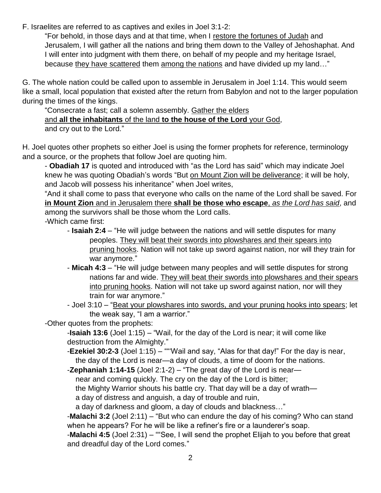F. Israelites are referred to as captives and exiles in Joel 3:1-2:

"For behold, in those days and at that time, when I restore the fortunes of Judah and Jerusalem, I will gather all the nations and bring them down to the Valley of Jehoshaphat. And I will enter into judgment with them there, on behalf of my people and my heritage Israel, because they have scattered them among the nations and have divided up my land…"

G. The whole nation could be called upon to assemble in Jerusalem in Joel 1:14. This would seem like a small, local population that existed after the return from Babylon and not to the larger population during the times of the kings.

"Consecrate a fast; call a solemn assembly. Gather the elders and **all the inhabitants** of the land **to the house of the Lord** your God, and cry out to the Lord."

H. Joel quotes other prophets so either Joel is using the former prophets for reference, terminology and a source, or the prophets that follow Joel are quoting him.

- **Obadiah 17** is quoted and introduced with "as the Lord has said" which may indicate Joel knew he was quoting Obadiah's words "But on Mount Zion will be deliverance; it will be holy, and Jacob will possess his inheritance" when Joel writes,

"And it shall come to pass that everyone who calls on the name of the Lord shall be saved. For **in Mount Zion** and in Jerusalem there **shall be those who escape**, *as the Lord has said*, and among the survivors shall be those whom the Lord calls.

-Which came first:

- **Isaiah 2:4** "He will judge between the nations and will settle disputes for many peoples. They will beat their swords into plowshares and their spears into pruning hooks. Nation will not take up sword against nation, nor will they train for war anymore."
- **Micah 4:3** "He will judge between many peoples and will settle disputes for strong nations far and wide. They will beat their swords into plowshares and their spears into pruning hooks. Nation will not take up sword against nation, nor will they train for war anymore."
- Joel 3:10 "Beat your plowshares into swords, and your pruning hooks into spears; let the weak say, "I am a warrior."
- -Other quotes from the prophets:

-**Isaiah 13:6** (Joel 1:15) – "Wail, for the day of the Lord is near; it will come like destruction from the Almighty."

- -**Ezekiel 30:2-3** (Joel 1:15) ""'Wail and say, "Alas for that day!" For the day is near, the day of the Lord is near—a day of clouds, a time of doom for the nations.
- -**Zephaniah 1:14-15** (Joel 2:1-2) "The great day of the Lord is near—

near and coming quickly. The cry on the day of the Lord is bitter;

the Mighty Warrior shouts his battle cry. That day will be a day of wrath—

a day of distress and anguish, a day of trouble and ruin,

a day of darkness and gloom, a day of clouds and blackness…"

-**Malachi 3:2** (Joel 2:11) – "But who can endure the day of his coming? Who can stand when he appears? For he will be like a refiner's fire or a launderer's soap.

-**Malachi 4:5** (Joel 2:31) – ""See, I will send the prophet Elijah to you before that great and dreadful day of the Lord comes."